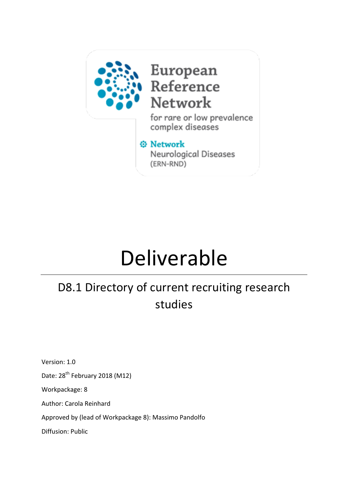

## European<br>Reference Network

for rare or low prevalence complex diseases

#### **O** Network

Neurological Diseases (ERN-RND)

# Deliverable

## D8.1 Directory of current recruiting research studies

Version: 1.0

Date: 28<sup>th</sup> February 2018 (M12)

Workpackage: 8

Author: Carola Reinhard

Approved by (lead of Workpackage 8): Massimo Pandolfo

Diffusion: Public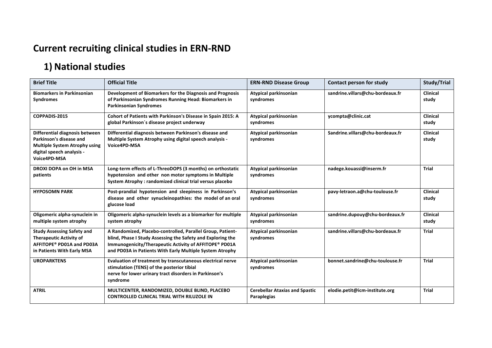### **Current recruiting clinical studies in ERN-RND**

## **1)** National studies

| <b>Brief Title</b>                                                                                                                             | <b>Official Title</b>                                                                                                                                                                                                                           | <b>ERN-RND Disease Group</b>                         | <b>Contact person for study</b>  | Study/Trial              |
|------------------------------------------------------------------------------------------------------------------------------------------------|-------------------------------------------------------------------------------------------------------------------------------------------------------------------------------------------------------------------------------------------------|------------------------------------------------------|----------------------------------|--------------------------|
| <b>Biomarkers in Parkinsonian</b><br><b>Syndromes</b>                                                                                          | Development of Biomarkers for the Diagnosis and Prognosis<br>of Parkinsonian Syndromes Running Head: Biomarkers in<br><b>Parkinsonian Syndromes</b>                                                                                             | Atypical parkinsonian<br>syndromes                   | sandrine.villars@chu-bordeaux.fr | <b>Clinical</b><br>study |
| COPPADIS-2015                                                                                                                                  | Cohort of Patients with Parkinson's Disease in Spain 2015: A<br>global Parkinson's disease project underway                                                                                                                                     | Atypical parkinsonian<br>syndromes                   | ycompta@clinic.cat               | Clinical<br>study        |
| Differential diagnosis between<br>Parkinson's disease and<br><b>Multiple System Atrophy using</b><br>digital speech analysis -<br>Voice4PD-MSA | Differential diagnosis between Parkinson's disease and<br>Multiple System Atrophy using digital speech analysis -<br>Voice4PD-MSA                                                                                                               | Atypical parkinsonian<br>syndromes                   | Sandrine.villars@chu-bordeaux.fr | <b>Clinical</b><br>study |
| DROXI DOPA on OH in MSA<br>patients                                                                                                            | Long-term effects of L-ThreoDOPS (3 months) on orthostatic<br>hypotension and other non motor symptoms in Multiple<br>System Atrophy: randomized clinical trial versus placebo                                                                  | Atypical parkinsonian<br>syndromes                   | nadege.kouassi@inserm.fr         | <b>Trial</b>             |
| <b>HYPOSOMN PARK</b>                                                                                                                           | Post-prandial hypotension and sleepiness in Parkinson's<br>disease and other synucleinopathies: the model of an oral<br>glucose load                                                                                                            | Atypical parkinsonian<br>syndromes                   | pavy-letraon.a@chu-toulouse.fr   | Clinical<br>study        |
| Oligomeric alpha-synuclein in<br>multiple system atrophy                                                                                       | Oligomeric alpha-synuclein levels as a biomarker for multiple<br>system atrophy                                                                                                                                                                 | Atypical parkinsonian<br>syndromes                   | sandrine.dupouy@chu-bordeaux.fr  | <b>Clinical</b><br>study |
| <b>Study Assessing Safety and</b><br><b>Therapeutic Activity of</b><br>AFFITOPE® PD01A and PD03A<br>in Patients With Early MSA                 | A Randomized, Placebo-controlled, Parallel Group, Patient-<br>blind, Phase I Study Assessing the Safety and Exploring the<br>Immunogenicity/Therapeutic Activity of AFFITOPE® PD01A<br>and PD03A in Patients With Early Multiple System Atrophy | Atypical parkinsonian<br>syndromes                   | sandrine.villars@chu-bordeaux.fr | <b>Trial</b>             |
| <b>UROPARKTENS</b>                                                                                                                             | Evaluation of treatment by transcutaneous electrical nerve<br>stimulation (TENS) of the posterior tibial<br>nerve for lower urinary tract disorders in Parkinson's<br>syndrome                                                                  | Atypical parkinsonian<br>syndromes                   | bonnet.sandrine@chu-toulouse.fr  | <b>Trial</b>             |
| <b>ATRIL</b>                                                                                                                                   | MULTICENTER, RANDOMIZED, DOUBLE BLIND, PLACEBO<br>CONTROLLED CLINICAL TRIAL WITH RILUZOLE IN                                                                                                                                                    | <b>Cerebellar Ataxias and Spastic</b><br>Paraplegias | elodie.petit@icm-institute.org   | <b>Trial</b>             |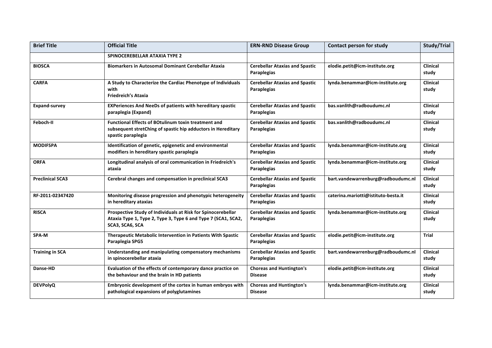| <b>Brief Title</b>      | <b>Official Title</b>                                                                                                                            | <b>ERN-RND Disease Group</b>                         | Contact person for study            | <b>Study/Trial</b>       |
|-------------------------|--------------------------------------------------------------------------------------------------------------------------------------------------|------------------------------------------------------|-------------------------------------|--------------------------|
|                         | SPINOCEREBELLAR ATAXIA TYPE 2                                                                                                                    |                                                      |                                     |                          |
| <b>BIOSCA</b>           | <b>Biomarkers in Autosomal Dominant Cerebellar Ataxia</b>                                                                                        | <b>Cerebellar Ataxias and Spastic</b><br>Paraplegias | elodie.petit@icm-institute.org      | <b>Clinical</b><br>study |
| <b>CARFA</b>            | A Study to Characterize the Cardiac Phenotype of Individuals<br>with<br><b>Friedreich's Ataxia</b>                                               | <b>Cerebellar Ataxias and Spastic</b><br>Paraplegias | lynda.benammar@icm-institute.org    | Clinical<br>study        |
| <b>Expand-survey</b>    | <b>EXPeriences And NeeDs of patients with hereditary spastic</b><br>paraplegia (Expand)                                                          | <b>Cerebellar Ataxias and Spastic</b><br>Paraplegias | bas.vanlith@radboudumc.nl           | Clinical<br>study        |
| Feboch-II               | <b>Functional Effects of BOtulinum toxin treatment and</b><br>subsequent stretChing of spastic hip adductors in Hereditary<br>spastic paraplegia | <b>Cerebellar Ataxias and Spastic</b><br>Paraplegias | bas.vanlith@radboudumc.nl           | <b>Clinical</b><br>study |
| <b>MODIFSPA</b>         | Identification of genetic, epigenetic and environmental<br>modifiers in hereditary spastic paraplegia                                            | <b>Cerebellar Ataxias and Spastic</b><br>Paraplegias | lynda.benammar@icm-institute.org    | <b>Clinical</b><br>study |
| <b>ORFA</b>             | Longitudinal analysis of oral communication in Friedreich's<br>ataxia                                                                            | <b>Cerebellar Ataxias and Spastic</b><br>Paraplegias | lynda.benammar@icm-institute.org    | Clinical<br>study        |
| <b>Preclinical SCA3</b> | Cerebral changes and compensation in preclinical SCA3                                                                                            | <b>Cerebellar Ataxias and Spastic</b><br>Paraplegias | bart.vandewarrenburg@radboudumc.nl  | <b>Clinical</b><br>study |
| RF-2011-02347420        | Monitoring disease progression and phenotypic heterogeneity<br>in hereditary ataxias                                                             | <b>Cerebellar Ataxias and Spastic</b><br>Paraplegias | caterina.mariotti@istituto-besta.it | <b>Clinical</b><br>study |
| <b>RISCA</b>            | Prospective Study of Individuals at Risk for Spinocerebellar<br>Ataxia Type 1, Type 2, Type 3, Type 6 and Type 7 (SCA1, SCA2,<br>SCA3, SCA6, SCA | <b>Cerebellar Ataxias and Spastic</b><br>Paraplegias | lynda.benammar@icm-institute.org    | <b>Clinical</b><br>study |
| SPA-M                   | Therapeutic Metabolic Intervention in Patients With Spastic<br>Paraplegia SPG5                                                                   | <b>Cerebellar Ataxias and Spastic</b><br>Paraplegias | elodie.petit@icm-institute.org      | <b>Trial</b>             |
| <b>Training in SCA</b>  | Understanding and manipulating compensatory mechanisms<br>in spinocerebellar ataxia                                                              | <b>Cerebellar Ataxias and Spastic</b><br>Paraplegias | bart.vandewarrenburg@radboudumc.nl  | <b>Clinical</b><br>study |
| Danse-HD                | Evaluation of the effects of contemporary dance practice on<br>the behaviour and the brain in HD patients                                        | <b>Choreas and Huntington's</b><br><b>Disease</b>    | elodie.petit@icm-institute.org      | Clinical<br>study        |
| <b>DEVPolyQ</b>         | Embryonic development of the cortex in human embryos with<br>pathological expansions of polyglutamines                                           | <b>Choreas and Huntington's</b><br><b>Disease</b>    | lynda.benammar@icm-institute.org    | <b>Clinical</b><br>study |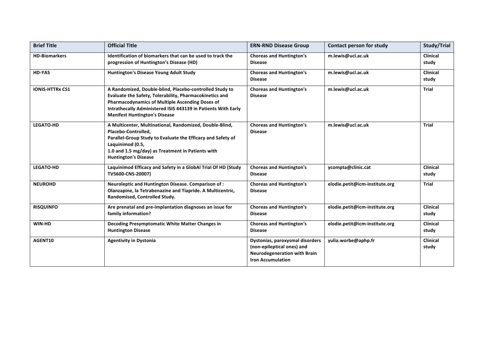| <b>Brief Title</b>     | <b>Official Title</b>                                                                                                                                                                                                                                                                 | <b>ERN-RND Disease Group</b>                                                                                                     | Contact person for study       | Study/Trial              |
|------------------------|---------------------------------------------------------------------------------------------------------------------------------------------------------------------------------------------------------------------------------------------------------------------------------------|----------------------------------------------------------------------------------------------------------------------------------|--------------------------------|--------------------------|
| <b>HD-Biomarkers</b>   | Identification of biomarkers that can be used to track the<br>progression of Huntington's Disease (HD)                                                                                                                                                                                | <b>Choreas and Huntington's</b><br><b>Disease</b>                                                                                | m.lewis@ucl.ac.uk              | Clinical<br>study        |
| <b>HD-YAS</b>          | Huntington's Disease Young Adult Study                                                                                                                                                                                                                                                | <b>Choreas and Huntington's</b><br><b>Disease</b>                                                                                | m.lewis@ucl.ac.uk              | <b>Clinical</b><br>study |
| <b>IONIS-HTTRx CS1</b> | A Randomized, Double-blind, Placebo-controlled Study to<br>Evaluate the Safety, Tolerability, Pharmacokinetics and<br><b>Pharmacodynamics of Multiple Ascending Doses of</b><br>Intrathecally Administered ISIS 443139 in Patients With Early<br><b>Manifest Huntington's Disease</b> | <b>Choreas and Huntington's</b><br><b>Disease</b>                                                                                | m.lewis@ucl.ac.uk              | <b>Trial</b>             |
| <b>LEGATO-HD</b>       | A Multicenter, Multinational, Randomized, Double-Blind,<br>Placebo-Controlled,<br>Parallel-Group Study to Evaluate the Efficacy and Safety of<br>Laquinimod (0.5,<br>1.0 and 1.5 mg/day) as Treatment in Patients with<br><b>Huntington's Disease</b>                                 | <b>Choreas and Huntington's</b><br><b>Disease</b>                                                                                | m.lewis@ucl.ac.uk              | Trial                    |
| <b>LEGATO-HD</b>       | Laquinimod Efficacy and Safety in a GlobAl Trial Of HD (Study<br>TV5600-CNS-20007)                                                                                                                                                                                                    | <b>Choreas and Huntington's</b><br><b>Disease</b>                                                                                | ycompta@clinic.cat             | Clinical<br>study        |
| <b>NEUROHD</b>         | Neuroleptic and Huntington Disease. Comparison of:<br>Olanzapine, la Tetrabenazine and Tiapride. A Multicentric,<br>Randomised, Controlled Study.                                                                                                                                     | <b>Choreas and Huntington's</b><br><b>Disease</b>                                                                                | elodie.petit@icm-institute.org | <b>Trial</b>             |
| <b>RISQUINFO</b>       | Are prenatal and pre-implantation diagnoses an issue for<br>family information?                                                                                                                                                                                                       | <b>Choreas and Huntington's</b><br><b>Disease</b>                                                                                | elodie.petit@icm-institute.org | <b>Clinical</b><br>study |
| WIN-HD                 | Decoding Presymptomatic White Matter Changes in<br><b>Huntington Disease</b>                                                                                                                                                                                                          | <b>Choreas and Huntington's</b><br><b>Disease</b>                                                                                | elodie.petit@icm-institute.org | <b>Clinical</b><br>study |
| AGENT10                | <b>Agentivity in Dystonia</b>                                                                                                                                                                                                                                                         | Dystonias, paroxysmal disorders<br>(non-epileptical ones) and<br><b>Neurodegeneration with Brain</b><br><b>Iron Accumulation</b> | yulia.worbe@aphp.fr            | <b>Clinical</b><br>study |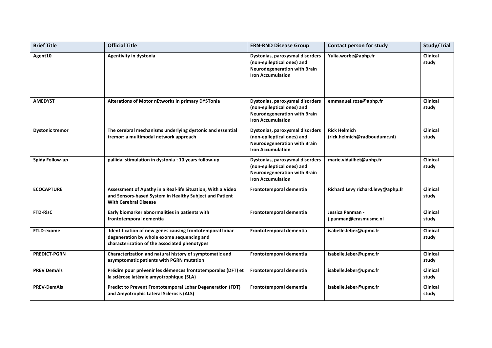| <b>Brief Title</b>     | <b>Official Title</b>                                                                                                                                   | <b>ERN-RND Disease Group</b>                                                                                                     | Contact person for study                            | Study/Trial              |
|------------------------|---------------------------------------------------------------------------------------------------------------------------------------------------------|----------------------------------------------------------------------------------------------------------------------------------|-----------------------------------------------------|--------------------------|
| Agent10                | Agentivity in dystonia                                                                                                                                  | Dystonias, paroxysmal disorders<br>(non-epileptical ones) and<br><b>Neurodegeneration with Brain</b><br><b>Iron Accumulation</b> | Yulia.worbe@aphp.fr                                 | <b>Clinical</b><br>study |
| <b>AMEDYST</b>         | Alterations of Motor nEtworks in primary DYSTonia                                                                                                       | Dystonias, paroxysmal disorders<br>(non-epileptical ones) and<br><b>Neurodegeneration with Brain</b><br><b>Iron Accumulation</b> | emmanuel.roze@aphp.fr                               | <b>Clinical</b><br>study |
| <b>Dystonic tremor</b> | The cerebral mechanisms underlying dystonic and essential<br>tremor: a multimodal network approach                                                      | Dystonias, paroxysmal disorders<br>(non-epileptical ones) and<br>Neurodegeneration with Brain<br><b>Iron Accumulation</b>        | <b>Rick Helmich</b><br>(rick.helmich@radboudumc.nl) | Clinical<br>study        |
| <b>Spidy Follow-up</b> | pallidal stimulation in dystonia : 10 years follow-up                                                                                                   | Dystonias, paroxysmal disorders<br>(non-epileptical ones) and<br><b>Neurodegeneration with Brain</b><br><b>Iron Accumulation</b> | marie.vidailhet@aphp.fr                             | Clinical<br>study        |
| <b>ECOCAPTURE</b>      | Assessment of Apathy in a Real-life Situation, With a Video<br>and Sensors-based System in Healthy Subject and Patient<br><b>With Cerebral Disease</b>  | Frontotemporal dementia                                                                                                          | Richard Levy richard.levy@aphp.fr                   | Clinical<br>study        |
| <b>FTD-RisC</b>        | Early biomarker abnormalities in patients with<br>frontotemporal dementia                                                                               | Frontotemporal dementia                                                                                                          | Jessica Panman -<br>j.panman@erasmusmc.nl           | Clinical<br>study        |
| FTLD-exome             | Identification of new genes causing frontotemporal lobar<br>degeneration by whole exome sequencing and<br>characterization of the associated phenotypes | Frontotemporal dementia                                                                                                          | isabelle.leber@upmc.fr                              | Clinical<br>study        |
| <b>PREDICT-PGRN</b>    | Characterization and natural history of symptomatic and<br>asymptomatic patients with PGRN mutation                                                     | Frontotemporal dementia                                                                                                          | isabelle.leber@upmc.fr                              | <b>Clinical</b><br>study |
| <b>PREV DemAls</b>     | Prédire pour prévenir les démences frontotemporales (DFT) et<br>la sclérose latérale amyotrophique (SLA)                                                | Frontotemporal dementia                                                                                                          | isabelle.leber@upmc.fr                              | <b>Clinical</b><br>study |
| <b>PREV-DemAls</b>     | Predict to Prevent Frontotemporal Lobar Degeneration (FDT)<br>and Amyotrophic Lateral Sclerosis (ALS)                                                   | Frontotemporal dementia                                                                                                          | isabelle.leber@upmc.fr                              | <b>Clinical</b><br>study |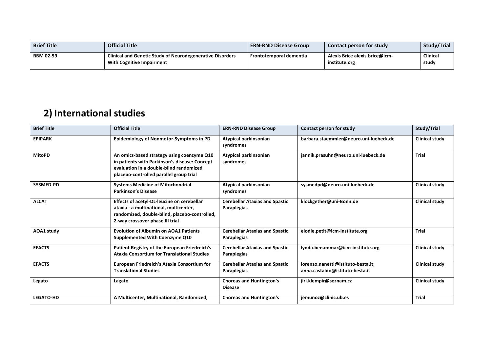| <b>Brief Title</b> | <b>Official Title</b>                                                                                | <b>ERN-RND Disease Group</b>   | <b>Contact person for study</b>                 | Study/Trial              |
|--------------------|------------------------------------------------------------------------------------------------------|--------------------------------|-------------------------------------------------|--------------------------|
| <b>RBM 02-59</b>   | <b>Clinical and Genetic Study of Neurodegenerative Disorders</b><br><b>With Cognitive Impairment</b> | <b>Frontotemporal dementia</b> | Alexis Brice alexis.brice@icm-<br>institute.org | <b>Clinical</b><br>study |

### **2)** International studies

| <b>Brief Title</b> | <b>Official Title</b>                                                                                                                                                             | <b>ERN-RND Disease Group</b>                         | Contact person for study                                              | Study/Trial           |
|--------------------|-----------------------------------------------------------------------------------------------------------------------------------------------------------------------------------|------------------------------------------------------|-----------------------------------------------------------------------|-----------------------|
| <b>EPIPARK</b>     | Epidemiology of Nonmotor-Symptoms in PD                                                                                                                                           | Atypical parkinsonian<br>syndromes                   | barbara.staemmler@neuro.uni-luebeck.de                                | <b>Clinical study</b> |
| <b>MitoPD</b>      | An omics-based strategy using coenzyme Q10<br>in patients with Parkinson's disease: Concept<br>evaluation in a double-blind randomized<br>placebo-controlled parallel group trial | Atypical parkinsonian<br>syndromes                   | jannik.prasuhn@neuro.uni-luebeck.de                                   | <b>Trial</b>          |
| SYSMED-PD          | <b>Systems Medicine of Mitochondrial</b><br><b>Parkinson's Disease</b>                                                                                                            | Atypical parkinsonian<br>syndromes                   | sysmedpd@neuro.uni-luebeck.de                                         | <b>Clinical study</b> |
| <b>ALCAT</b>       | Effects of acetyl-DL-leucine on cerebellar<br>ataxia - a multinational, multicenter,<br>randomized, double-blind, placebo-controlled,<br>2-way crossover phase III trial          | <b>Cerebellar Ataxias and Spastic</b><br>Paraplegias | klockgether@uni-Bonn.de                                               | <b>Clinical study</b> |
| <b>AOA1 study</b>  | <b>Evolution of Albumin on AOA1 Patients</b><br>Supplemented With Coenzyme Q10                                                                                                    | <b>Cerebellar Ataxias and Spastic</b><br>Paraplegias | elodie.petit@icm-institute.org                                        | Trial                 |
| <b>EFACTS</b>      | Patient Registry of the European Friedreich's<br><b>Ataxia Consortium for Translational Studies</b>                                                                               | <b>Cerebellar Ataxias and Spastic</b><br>Paraplegias | lynda.benammar@icm-institute.org                                      | <b>Clinical study</b> |
| <b>EFACTS</b>      | European Friedreich's Ataxia Consortium for<br><b>Translational Studies</b>                                                                                                       | <b>Cerebellar Ataxias and Spastic</b><br>Paraplegias | lorenzo.nanetti@istituto-besta.it;<br>anna.castaldo@istituto-besta.it | <b>Clinical study</b> |
| Legato             | Lagato                                                                                                                                                                            | <b>Choreas and Huntington's</b><br><b>Disease</b>    | jiri.klempir@seznam.cz                                                | <b>Clinical study</b> |
| <b>LEGATO-HD</b>   | A Multicenter, Multinational, Randomized,                                                                                                                                         | <b>Choreas and Huntington's</b>                      | jemunoz@clinic.ub.es                                                  | <b>Trial</b>          |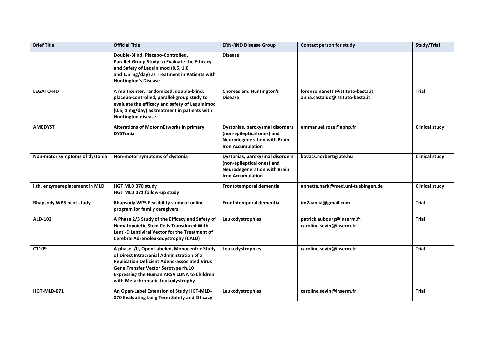| <b>Brief Title</b>             | <b>Official Title</b>                                                                                                                                                                                                                                                        | <b>ERN-RND Disease Group</b>                                                                                                     | Contact person for study                                              | Study/Trial           |
|--------------------------------|------------------------------------------------------------------------------------------------------------------------------------------------------------------------------------------------------------------------------------------------------------------------------|----------------------------------------------------------------------------------------------------------------------------------|-----------------------------------------------------------------------|-----------------------|
|                                | Double-Blind, Placebo-Controlled,<br>Parallel-Group Study to Evaluate the Efficacy<br>and Safety of Laquinimod (0.5, 1.0<br>and 1.5 mg/day) as Treatment in Patients with<br><b>Huntington's Disease</b>                                                                     | <b>Disease</b>                                                                                                                   |                                                                       |                       |
| <b>LEGATO-HD</b>               | A multicenter, randomized, double-blind,<br>placebo-controlled, parallel-group study to<br>evaluate the efficacy and safety of Laquinimod<br>(0.5, 1 mg/day) as treatment in patients with<br>Huntington disease.                                                            | <b>Choreas and Huntington's</b><br><b>Disease</b>                                                                                | lorenzo.nanetti@istituto-besta.it;<br>anna.castaldo@istituto-besta.it | <b>Trial</b>          |
| <b>AMEDYST</b>                 | Alterations of Motor nEtworks in primary<br><b>DYSTonia</b>                                                                                                                                                                                                                  | Dystonias, paroxysmal disorders<br>(non-epileptical ones) and<br><b>Neurodegeneration with Brain</b><br><b>Iron Accumulation</b> | emmanuel.roze@aphp.fr                                                 | <b>Clinical study</b> |
| Non-motor symptoms of dystonia | Non-motor symptoms of dystonia                                                                                                                                                                                                                                               | Dystonias, paroxysmal disorders<br>(non-epileptical ones) and<br><b>Neurodegeneration with Brain</b><br><b>Iron Accumulation</b> | kovacs.norbert@pte.hu                                                 | <b>Clinical study</b> |
| i.th. enzymereplacement in MLD | HGT MLD 070 study<br>HGT MLD 071 follow-up study                                                                                                                                                                                                                             | Frontotemporal dementia                                                                                                          | annette.hark@med.uni-tuebingen.de                                     | <b>Clinical study</b> |
| Rhapsody WP5 pilot study       | Rhapsody WP5 Feasibility study of online<br>program for family caregivers                                                                                                                                                                                                    | Frontotemporal dementia                                                                                                          | im2aanna@gmail.com                                                    | Trial                 |
| <b>ALD-102</b>                 | A Phase 2/3 Study of the Efficacy and Safety of<br><b>Hematopoietic Stem Cells Transduced With</b><br>Lenti-D Lentiviral Vector for the Treatment of<br>Cerebral Adrenoleukodystrophy (CALD)                                                                                 | Leukodystrophies                                                                                                                 | patrick.aubourg@inserm.fr;<br>caroline.sevin@inserm.fr                | Trial                 |
| C1109                          | A phase I/II, Open Labeled, Monocentric Study<br>of Direct Intracranial Administration of a<br><b>Replication Deficient Adeno-associated Virus</b><br>Gene Transfer Vector Serotype rh.10<br>Expressing the Human ARSA cDNA to Children<br>with Metachromatic Leukodystrophy | Leukodystrophies                                                                                                                 | caroline.sevin@inserm.fr                                              | Trial                 |
| HGT-MLD-071                    | An Open-Label Extension of Study HGT-MLD-<br>070 Evaluating Long Term Safety and Efficacy                                                                                                                                                                                    | Leukodystrophies                                                                                                                 | caroline.sevin@inserm.fr                                              | <b>Trial</b>          |